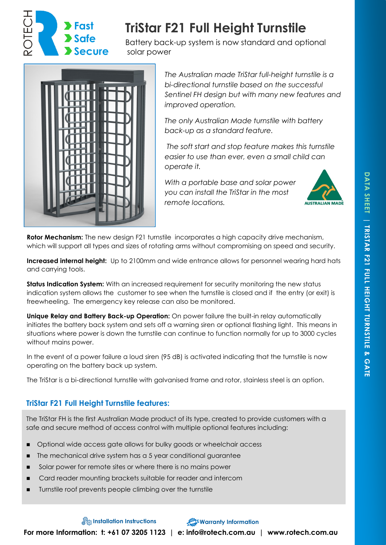

# **TriStar F21 Full Height Turnstile**

Battery back-up system is now standard and optional solar power



*The Australian made TriStar full-height turnstile is a bi-directional turnstile based on the successful Sentinel FH design but with many new features and improved operation.*

*The only Australian Made turnstile with battery back-up as a standard feature.*

*The soft start and stop feature makes this turnstile easier to use than ever, even a small child can operate it.* 

*With a portable base and solar power you can install the TriStar in the most remote locations.* 



**Rotor Mechanism:** The new design F21 turnstile incorporates a high capacity drive mechanism, which will support all types and sizes of rotating arms without compromising on speed and security.

**Increased internal height:** Up to 2100mm and wide entrance allows for personnel wearing hard hats and carrying tools.

**Status Indication System:** With an increased requirement for security monitoring the new status indication system allows the customer to see when the turnstile is closed and if the entry (or exit) is freewheeling. The emergency key release can also be monitored.

**Unique Relay and Battery Back-up Operation:** On power failure the built-in relay automatically initiates the battery back system and sets off a warning siren or optional flashing light. This means in situations where power is down the turnstile can continue to function normally for up to 3000 cycles without mains power.

In the event of a power failure a loud siren (95 dB) is activated indicating that the turnstile is now operating on the battery back up system.

The TriStar is a bi-directional turnstile with galvanised frame and rotor, stainless steel is an option.

## **TriStar F21 Full Height Turnstile features:**

The TriStar FH is the first Australian Made product of its type, created to provide customers with a safe and secure method of access control with multiple optional features including:

- ◼ Optional wide access gate allows for bulky goods or wheelchair access
- The mechanical drive system has a 5 year conditional guarantee
- Solar power for remote sites or where there is no mains power
- Card reader mounting brackets suitable for reader and intercom
- Turnstile roof prevents people climbing over the turnstile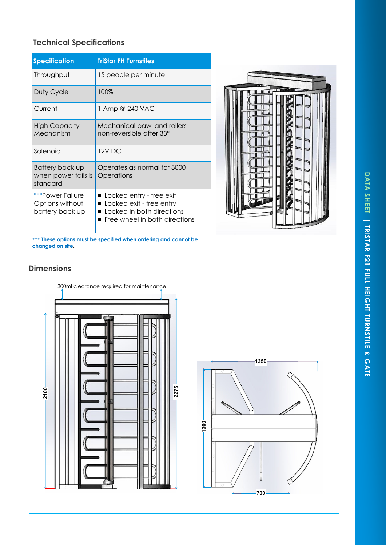# DATA SHEET | TRISTAR F21 FULL HEIGHT TURNSTILE & GATE **DATA SHEET | TRISTAR F21 FULL HEIGHT TURNSTILE & GATE**

# **Technical Specifications**

| <b>Specification</b>                                   | <b>TriStar FH Turnstiles</b>                                                                                         |
|--------------------------------------------------------|----------------------------------------------------------------------------------------------------------------------|
| Throughput                                             | 15 people per minute                                                                                                 |
| Duty Cycle                                             | 100%                                                                                                                 |
| Current                                                | 1 Amp @ 240 VAC                                                                                                      |
| <b>High Capacity</b><br>Mechanism                      | Mechanical pawl and rollers<br>non-reversible after 33°                                                              |
| Solenoid                                               | 12V DC                                                                                                               |
| Battery back up<br>when power fails is<br>standard     | Operates as normal for 3000<br>Operations                                                                            |
| ***Power Failure<br>Options without<br>battery back up | ■ Locked entry - free exit<br>Locked exit - free entry<br>Locked in both directions<br>Free wheel in both directions |



\*\*\* **These options must be specified when ordering and cannot be changed on site .**

# **Dimensions**